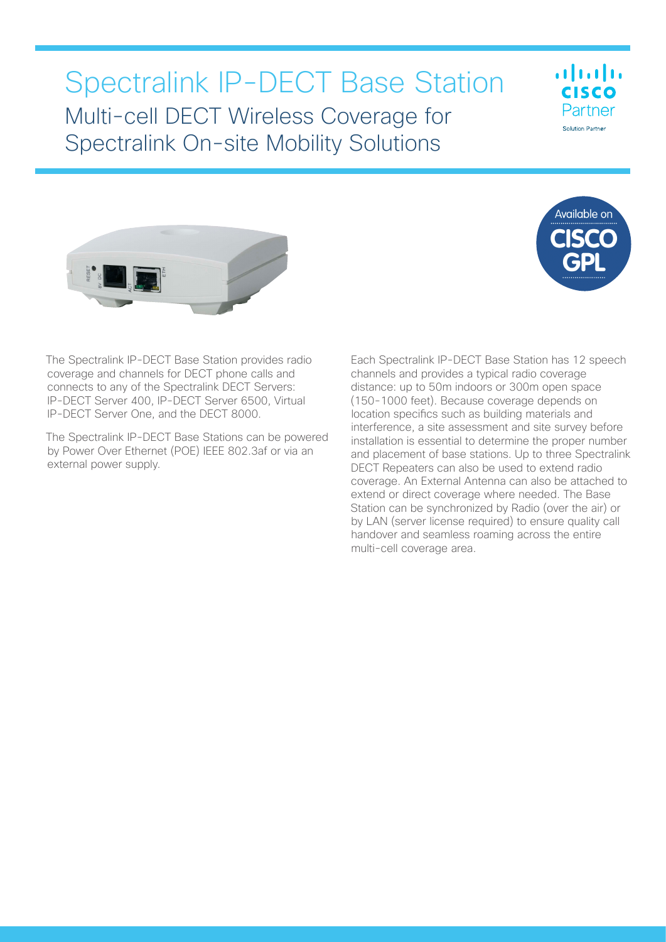# Spectralink IP-DECT Base Station Multi-cell DECT Wireless Coverage for Spectralink On-site Mobility Solutions







The Spectralink IP-DECT Base Station provides radio coverage and channels for DECT phone calls and connects to any of the Spectralink DECT Servers: IP-DECT Server 400, IP-DECT Server 6500, Virtual IP-DECT Server One, and the DECT 8000.

The Spectralink IP-DECT Base Stations can be powered by Power Over Ethernet (POE) IEEE 802.3af or via an external power supply.

Each Spectralink IP-DECT Base Station has 12 speech channels and provides a typical radio coverage distance: up to 50m indoors or 300m open space (150-1000 feet). Because coverage depends on location specifics such as building materials and interference, a site assessment and site survey before installation is essential to determine the proper number and placement of base stations. Up to three Spectralink DECT Repeaters can also be used to extend radio coverage. An External Antenna can also be attached to extend or direct coverage where needed. The Base Station can be synchronized by Radio (over the air) or by LAN (server license required) to ensure quality call handover and seamless roaming across the entire multi-cell coverage area.